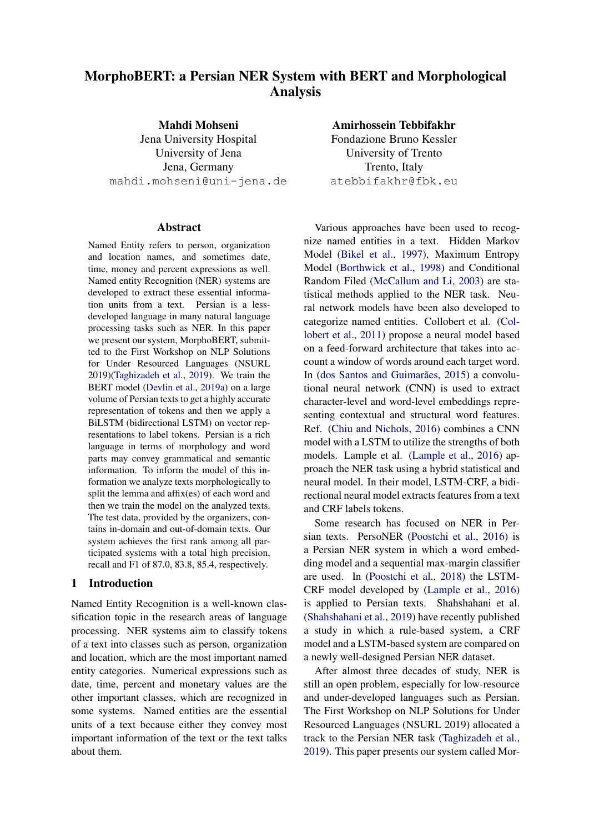# MorphoBERT: a Persian NER System with BERT and Morphological Analysis

Mahdi Mohseni Jena University Hospital University of Jena Jena, Germany mahdi.mohseni@uni-jena.de

#### Abstract

Named Entity refers to person, organization and location names, and sometimes date, time, money and percent expressions as well. Named entity Recognition (NER) systems are developed to extract these essential information units from a text. Persian is a lessdeveloped language in many natural language processing tasks such as NER. In this paper we present our system, MorphoBERT, submitted to the First Workshop on NLP Solutions for Under Resourced Languages (NSURL 2019)[\(Taghizadeh et al.,](#page-6-0) [2019\)](#page-6-0). We train the BERT model [\(Devlin et al.,](#page-6-1) [2019a\)](#page-6-1) on a large volume of Persian texts to get a highly accurate representation of tokens and then we apply a BiLSTM (bidirectional LSTM) on vector representations to label tokens. Persian is a rich language in terms of morphology and word parts may convey grammatical and semantic information. To inform the model of this information we analyze texts morphologically to split the lemma and affix(es) of each word and then we train the model on the analyzed texts. The test data, provided by the organizers, contains in-domain and out-of-domain texts. Our system achieves the first rank among all participated systems with a total high precision, recall and F1 of 87.0, 83.8, 85.4, respectively.

## 1 Introduction

Named Entity Recognition is a well-known classification topic in the research areas of language processing. NER systems aim to classify tokens of a text into classes such as person, organization and location, which are the most important named entity categories. Numerical expressions such as date, time, percent and monetary values are the other important classes, which are recognized in some systems. Named entities are the essential units of a text because either they convey most important information of the text or the text talks about them.

Amirhossein Tebbifakhr Fondazione Bruno Kessler University of Trento Trento, Italy atebbifakhr@fbk.eu

Various approaches have been used to recognize named entities in a text. Hidden Markov Model [\(Bikel et al.,](#page-6-2) [1997\)](#page-6-2), Maximum Entropy Model [\(Borthwick et al.,](#page-6-3) [1998\)](#page-6-3) and Conditional Random Filed [\(McCallum and Li,](#page-6-4) [2003\)](#page-6-4) are statistical methods applied to the NER task. Neural network models have been also developed to categorize named entities. Collobert et al. [\(Col](#page-6-5)[lobert et al.,](#page-6-5) [2011\)](#page-6-5) propose a neural model based on a feed-forward architecture that takes into account a window of words around each target word. In (dos Santos and Guimarães, [2015\)](#page-6-6) a convolutional neural network (CNN) is used to extract character-level and word-level embeddings representing contextual and structural word features. Ref. [\(Chiu and Nichols,](#page-6-7) [2016\)](#page-6-7) combines a CNN model with a LSTM to utilize the strengths of both models. Lample et al. [\(Lample et al.,](#page-6-8) [2016\)](#page-6-8) approach the NER task using a hybrid statistical and neural model. In their model, LSTM-CRF, a bidirectional neural model extracts features from a text and CRF labels tokens.

Some research has focused on NER in Persian texts. PersoNER [\(Poostchi et al.,](#page-6-9) [2016\)](#page-6-9) is a Persian NER system in which a word embedding model and a sequential max-margin classifier are used. In [\(Poostchi et al.,](#page-6-10) [2018\)](#page-6-10) the LSTM-CRF model developed by [\(Lample et al.,](#page-6-8) [2016\)](#page-6-8) is applied to Persian texts. Shahshahani et al. [\(Shahshahani et al.,](#page-6-11) [2019\)](#page-6-11) have recently published a study in which a rule-based system, a CRF model and a LSTM-based system are compared on a newly well-designed Persian NER dataset.

After almost three decades of study, NER is still an open problem, especially for low-resource and under-developed languages such as Persian. The First Workshop on NLP Solutions for Under Resourced Languages (NSURL 2019) allocated a track to the Persian NER task [\(Taghizadeh et al.,](#page-6-0) [2019\)](#page-6-0). This paper presents our system called Mor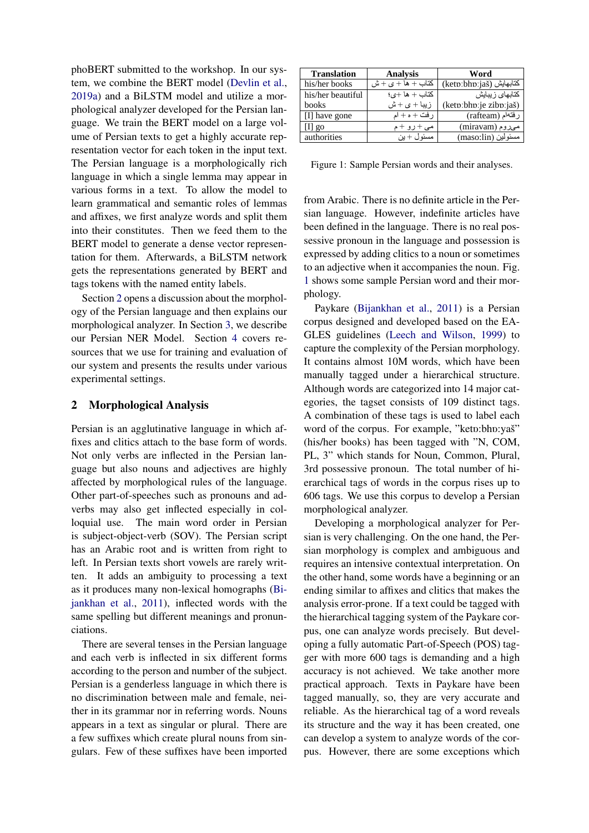phoBERT submitted to the workshop. In our system, we combine the BERT model [\(Devlin et al.,](#page-6-1) [2019a\)](#page-6-1) and a BiLSTM model and utilize a morphological analyzer developed for the Persian language. We train the BERT model on a large volume of Persian texts to get a highly accurate representation vector for each token in the input text. The Persian language is a morphologically rich language in which a single lemma may appear in various forms in a text. To allow the model to learn grammatical and semantic roles of lemmas and affixes, we first analyze words and split them into their constitutes. Then we feed them to the BERT model to generate a dense vector representation for them. Afterwards, a BiLSTM network gets the representations generated by BERT and tags tokens with the named entity labels.

Section [2](#page-1-0) opens a discussion about the morphology of the Persian language and then explains our morphological analyzer. In Section [3,](#page-2-0) we describe our Persian NER Model. Section [4](#page-3-0) covers resources that we use for training and evaluation of our system and presents the results under various experimental settings.

### <span id="page-1-0"></span>2 Morphological Analysis

Persian is an agglutinative language in which affixes and clitics attach to the base form of words. Not only verbs are inflected in the Persian language but also nouns and adjectives are highly affected by morphological rules of the language. Other part-of-speeches such as pronouns and adverbs may also get inflected especially in colloquial use. The main word order in Persian is subject-object-verb (SOV). The Persian script has an Arabic root and is written from right to left. In Persian texts short vowels are rarely written. It adds an ambiguity to processing a text as it produces many non-lexical homographs [\(Bi](#page-6-12)[jankhan et al.,](#page-6-12) [2011\)](#page-6-12), inflected words with the same spelling but different meanings and pronunciations.

There are several tenses in the Persian language and each verb is inflected in six different forms according to the person and number of the subject. Persian is a genderless language in which there is no discrimination between male and female, neither in its grammar nor in referring words. Nouns appears in a text as singular or plural. There are a few suffixes which create plural nouns from singulars. Few of these suffixes have been imported

<span id="page-1-1"></span>

| <b>Translation</b>                  | <b>Analysis</b>                                  | Word                    |
|-------------------------------------|--------------------------------------------------|-------------------------|
| his/her books                       | $\Delta t + \Delta t + \Delta t + \Delta t$ كتاب | (ketp:bhp:jaš) كتابهايش |
| his/her beautiful                   | كتاب + ها +ي؛                                    | كتابهاى زيبايش          |
| books                               | $\omega + \omega + i$ ز ببا                      | (ketp:bhp:je zibp:jaš)  |
| $\left[ \text{I} \right]$ have gone | ر فت + ہ + ام                                    | رفتهام (rafteam)        |
| $ 1 $ go                            | می +رو +م                                        | (miravam) میروم         |
| authorities                         | مسئو ل $+$ بن                                    | مسئولين (maso:lin)      |

Figure 1: Sample Persian words and their analyses.

from Arabic. There is no definite article in the Persian language. However, indefinite articles have been defined in the language. There is no real possessive pronoun in the language and possession is expressed by adding clitics to a noun or sometimes to an adjective when it accompanies the noun. Fig. [1](#page-1-1) shows some sample Persian word and their morphology.

Paykare [\(Bijankhan et al.,](#page-6-12) [2011\)](#page-6-12) is a Persian corpus designed and developed based on the EA-GLES guidelines [\(Leech and Wilson,](#page-6-13) [1999\)](#page-6-13) to capture the complexity of the Persian morphology. It contains almost 10M words, which have been manually tagged under a hierarchical structure. Although words are categorized into 14 major categories, the tagset consists of 109 distinct tags. A combination of these tags is used to label each word of the corpus. For example, "ketp:bhp:yaš" (his/her books) has been tagged with "N, COM, PL, 3" which stands for Noun, Common, Plural, 3rd possessive pronoun. The total number of hierarchical tags of words in the corpus rises up to 606 tags. We use this corpus to develop a Persian morphological analyzer.

Developing a morphological analyzer for Persian is very challenging. On the one hand, the Persian morphology is complex and ambiguous and requires an intensive contextual interpretation. On the other hand, some words have a beginning or an ending similar to affixes and clitics that makes the analysis error-prone. If a text could be tagged with the hierarchical tagging system of the Paykare corpus, one can analyze words precisely. But developing a fully automatic Part-of-Speech (POS) tagger with more 600 tags is demanding and a high accuracy is not achieved. We take another more practical approach. Texts in Paykare have been tagged manually, so, they are very accurate and reliable. As the hierarchical tag of a word reveals its structure and the way it has been created, one can develop a system to analyze words of the corpus. However, there are some exceptions which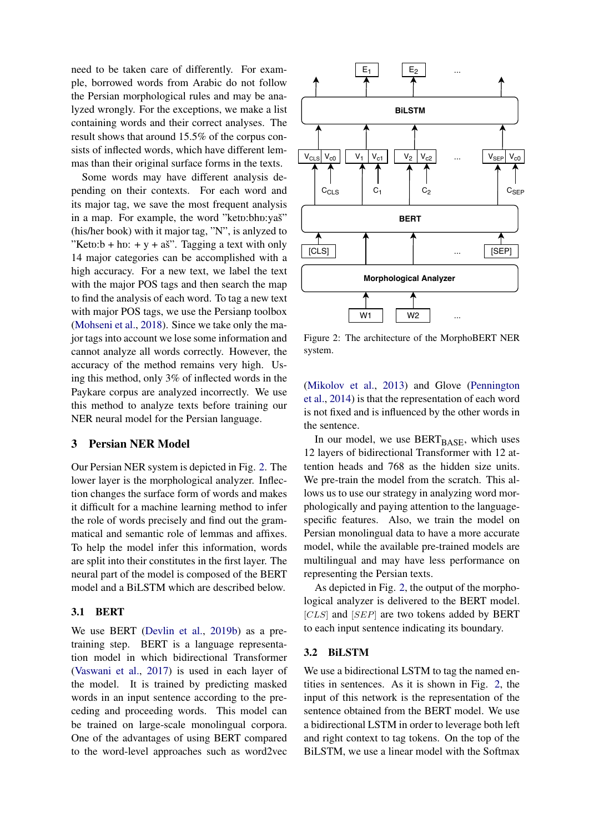need to be taken care of differently. For example, borrowed words from Arabic do not follow the Persian morphological rules and may be analyzed wrongly. For the exceptions, we make a list containing words and their correct analyses. The result shows that around 15.5% of the corpus consists of inflected words, which have different lemmas than their original surface forms in the texts.

Some words may have different analysis depending on their contexts. For each word and its major tag, we save the most frequent analysis in a map. For example, the word "ketp:bhp:yaš" (his/her book) with it major tag, "N", is anlyzed to "Keto: $b + h$ o: + y + aš". Tagging a text with only 14 major categories can be accomplished with a high accuracy. For a new text, we label the text with the major POS tags and then search the map to find the analysis of each word. To tag a new text with major POS tags, we use the Persianp toolbox [\(Mohseni et al.,](#page-6-14) [2018\)](#page-6-14). Since we take only the major tags into account we lose some information and cannot analyze all words correctly. However, the accuracy of the method remains very high. Using this method, only 3% of inflected words in the Paykare corpus are analyzed incorrectly. We use this method to analyze texts before training our NER neural model for the Persian language.

#### <span id="page-2-0"></span>3 Persian NER Model

Our Persian NER system is depicted in Fig. [2.](#page-2-1) The lower layer is the morphological analyzer. Inflection changes the surface form of words and makes it difficult for a machine learning method to infer the role of words precisely and find out the grammatical and semantic role of lemmas and affixes. To help the model infer this information, words are split into their constitutes in the first layer. The neural part of the model is composed of the BERT model and a BiLSTM which are described below.

# 3.1 BERT

We use BERT [\(Devlin et al.,](#page-6-15) [2019b\)](#page-6-15) as a pretraining step. BERT is a language representation model in which bidirectional Transformer [\(Vaswani et al.,](#page-7-0) [2017\)](#page-7-0) is used in each layer of the model. It is trained by predicting masked words in an input sentence according to the preceding and proceeding words. This model can be trained on large-scale monolingual corpora. One of the advantages of using BERT compared to the word-level approaches such as word2vec

<span id="page-2-1"></span>

Figure 2: The architecture of the MorphoBERT NER system.

[\(Mikolov et al.,](#page-6-16) [2013\)](#page-6-16) and Glove [\(Pennington](#page-6-17) [et al.,](#page-6-17) [2014\)](#page-6-17) is that the representation of each word is not fixed and is influenced by the other words in the sentence.

In our model, we use  $BERT_{BASE}$ , which uses 12 layers of bidirectional Transformer with 12 attention heads and 768 as the hidden size units. We pre-train the model from the scratch. This allows us to use our strategy in analyzing word morphologically and paying attention to the languagespecific features. Also, we train the model on Persian monolingual data to have a more accurate model, while the available pre-trained models are multilingual and may have less performance on representing the Persian texts.

As depicted in Fig. [2,](#page-2-1) the output of the morphological analyzer is delivered to the BERT model.  $[CLS]$  and  $[SEP]$  are two tokens added by BERT to each input sentence indicating its boundary.

#### 3.2 BiLSTM

We use a bidirectional LSTM to tag the named entities in sentences. As it is shown in Fig. [2,](#page-2-1) the input of this network is the representation of the sentence obtained from the BERT model. We use a bidirectional LSTM in order to leverage both left and right context to tag tokens. On the top of the BiLSTM, we use a linear model with the Softmax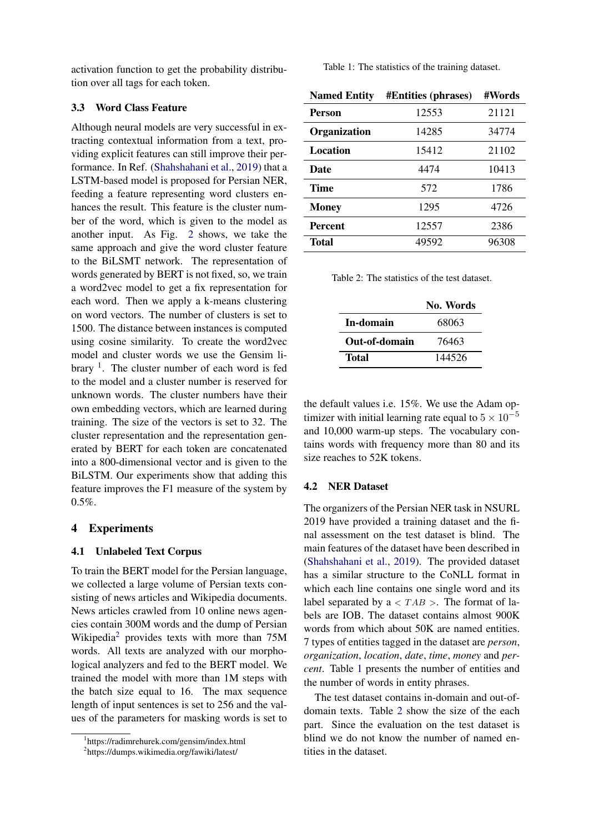activation function to get the probability distribution over all tags for each token.

## 3.3 Word Class Feature

Although neural models are very successful in extracting contextual information from a text, providing explicit features can still improve their performance. In Ref. [\(Shahshahani et al.,](#page-6-11) [2019\)](#page-6-11) that a LSTM-based model is proposed for Persian NER, feeding a feature representing word clusters enhances the result. This feature is the cluster number of the word, which is given to the model as another input. As Fig. [2](#page-2-1) shows, we take the same approach and give the word cluster feature to the BiLSMT network. The representation of words generated by BERT is not fixed, so, we train a word2vec model to get a fix representation for each word. Then we apply a k-means clustering on word vectors. The number of clusters is set to 1500. The distance between instances is computed using cosine similarity. To create the word2vec model and cluster words we use the Gensim library  $\frac{1}{1}$  $\frac{1}{1}$  $\frac{1}{1}$ . The cluster number of each word is fed to the model and a cluster number is reserved for unknown words. The cluster numbers have their own embedding vectors, which are learned during training. The size of the vectors is set to 32. The cluster representation and the representation generated by BERT for each token are concatenated into a 800-dimensional vector and is given to the BiLSTM. Our experiments show that adding this feature improves the F1 measure of the system by 0.5%.

# <span id="page-3-0"></span>4 Experiments

#### 4.1 Unlabeled Text Corpus

To train the BERT model for the Persian language, we collected a large volume of Persian texts consisting of news articles and Wikipedia documents. News articles crawled from 10 online news agencies contain 300M words and the dump of Persian Wikipedia<sup>[2](#page-3-2)</sup> provides texts with more than 75M words. All texts are analyzed with our morphological analyzers and fed to the BERT model. We trained the model with more than 1M steps with the batch size equal to 16. The max sequence length of input sentences is set to 256 and the values of the parameters for masking words is set to <span id="page-3-3"></span>Table 1: The statistics of the training dataset.

| <b>Named Entity</b> | <b>#Entities (phrases)</b> | #Words |
|---------------------|----------------------------|--------|
| Person              | 12553                      | 21121  |
| Organization        | 14285                      | 34774  |
| Location            | 15412                      | 21102  |
| Date                | 4474                       | 10413  |
| Time                | 572                        | 1786   |
| <b>Money</b>        | 1295                       | 4726   |
| <b>Percent</b>      | 12557                      | 2386   |
| <b>Total</b>        | 49592                      | 96308  |

<span id="page-3-4"></span>Table 2: The statistics of the test dataset.

|               | No. Words |
|---------------|-----------|
| In-domain     | 68063     |
| Out-of-domain | 76463     |
| Total         | 144526    |

the default values i.e. 15%. We use the Adam optimizer with initial learning rate equal to  $5 \times 10^{-5}$ and 10,000 warm-up steps. The vocabulary contains words with frequency more than 80 and its size reaches to 52K tokens.

#### 4.2 NER Dataset

The organizers of the Persian NER task in NSURL 2019 have provided a training dataset and the final assessment on the test dataset is blind. The main features of the dataset have been described in [\(Shahshahani et al.,](#page-6-11) [2019\)](#page-6-11). The provided dataset has a similar structure to the CoNLL format in which each line contains one single word and its label separated by  $a < TAB >$ . The format of labels are IOB. The dataset contains almost 900K words from which about 50K are named entities. 7 types of entities tagged in the dataset are *person*, *organization*, *location*, *date*, *time*, *money* and *percent*. Table [1](#page-3-3) presents the number of entities and the number of words in entity phrases.

The test dataset contains in-domain and out-ofdomain texts. Table [2](#page-3-4) show the size of the each part. Since the evaluation on the test dataset is blind we do not know the number of named entities in the dataset.

<span id="page-3-1"></span><sup>1</sup> https://radimrehurek.com/gensim/index.html

<span id="page-3-2"></span><sup>2</sup> https://dumps.wikimedia.org/fawiki/latest/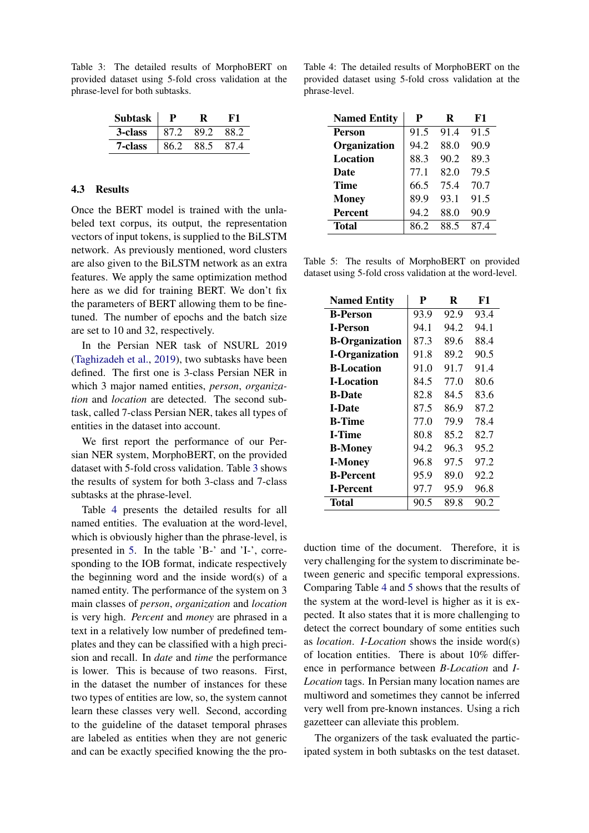<span id="page-4-0"></span>Table 3: The detailed results of MorphoBERT on provided dataset using 5-fold cross validation at the phrase-level for both subtasks.

| <b>Subtask</b> |      |      |          |
|----------------|------|------|----------|
| 3-class        | 87.2 | 89.2 | 88.2     |
| 7-class        | 86 2 | 88.5 | $\Delta$ |

# 4.3 Results

Once the BERT model is trained with the unlabeled text corpus, its output, the representation vectors of input tokens, is supplied to the BiLSTM network. As previously mentioned, word clusters are also given to the BiLSTM network as an extra features. We apply the same optimization method here as we did for training BERT. We don't fix the parameters of BERT allowing them to be finetuned. The number of epochs and the batch size are set to 10 and 32, respectively.

In the Persian NER task of NSURL 2019 [\(Taghizadeh et al.,](#page-6-0) [2019\)](#page-6-0), two subtasks have been defined. The first one is 3-class Persian NER in which 3 major named entities, *person*, *organization* and *location* are detected. The second subtask, called 7-class Persian NER, takes all types of entities in the dataset into account.

We first report the performance of our Persian NER system, MorphoBERT, on the provided dataset with 5-fold cross validation. Table [3](#page-4-0) shows the results of system for both 3-class and 7-class subtasks at the phrase-level.

Table [4](#page-4-1) presents the detailed results for all named entities. The evaluation at the word-level, which is obviously higher than the phrase-level, is presented in [5.](#page-4-2) In the table 'B-' and 'I-', corresponding to the IOB format, indicate respectively the beginning word and the inside word(s) of a named entity. The performance of the system on 3 main classes of *person*, *organization* and *location* is very high. *Percent* and *money* are phrased in a text in a relatively low number of predefined templates and they can be classified with a high precision and recall. In *date* and *time* the performance is lower. This is because of two reasons. First, in the dataset the number of instances for these two types of entities are low, so, the system cannot learn these classes very well. Second, according to the guideline of the dataset temporal phrases are labeled as entities when they are not generic and can be exactly specified knowing the the pro-

<span id="page-4-1"></span>Table 4: The detailed results of MorphoBERT on the provided dataset using 5-fold cross validation at the phrase-level.

| <b>Named Entity</b> | P    | R    | F1   |
|---------------------|------|------|------|
| <b>Person</b>       | 91.5 | 91.4 | 91.5 |
| Organization        | 94.2 | 88.0 | 90.9 |
| Location            | 88.3 | 90.2 | 89.3 |
| <b>Date</b>         | 77.1 | 82.0 | 79.5 |
| <b>Time</b>         | 66.5 | 75.4 | 70.7 |
| <b>Money</b>        | 89.9 | 93.1 | 91.5 |
| <b>Percent</b>      | 94.2 | 88.0 | 90.9 |
| <b>Total</b>        | 86.2 | 88.5 | 87.4 |

<span id="page-4-2"></span>Table 5: The results of MorphoBERT on provided dataset using 5-fold cross validation at the word-level.

| <b>Named Entity</b>   | P    | R    | F1   |
|-----------------------|------|------|------|
| <b>B-Person</b>       | 93.9 | 92.9 | 93.4 |
| <b>I-Person</b>       | 94.1 | 94.2 | 94.1 |
| <b>B-Organization</b> | 87.3 | 89.6 | 88.4 |
| <b>I-Organization</b> | 91.8 | 89.2 | 90.5 |
| <b>B-Location</b>     | 91.0 | 91.7 | 91.4 |
| <b>I-Location</b>     | 84.5 | 77.0 | 80.6 |
| <b>B-Date</b>         | 82.8 | 84.5 | 83.6 |
| <b>I-Date</b>         | 87.5 | 86.9 | 87.2 |
| <b>B-Time</b>         | 77.0 | 79.9 | 78.4 |
| <b>I-Time</b>         | 80.8 | 85.2 | 82.7 |
| <b>B-Money</b>        | 94.2 | 96.3 | 95.2 |
| <b>I-Money</b>        | 96.8 | 97.5 | 97.2 |
| <b>B-Percent</b>      | 95.9 | 89.0 | 92.2 |
| <b>I-Percent</b>      | 97.7 | 95.9 | 96.8 |
| Total                 | 90.5 | 89.8 | 90.2 |

duction time of the document. Therefore, it is very challenging for the system to discriminate between generic and specific temporal expressions. Comparing Table [4](#page-4-1) and [5](#page-4-2) shows that the results of the system at the word-level is higher as it is expected. It also states that it is more challenging to detect the correct boundary of some entities such as *location*. *I-Location* shows the inside word(s) of location entities. There is about 10% difference in performance between *B-Location* and *I-Location* tags. In Persian many location names are multiword and sometimes they cannot be inferred very well from pre-known instances. Using a rich gazetteer can alleviate this problem.

The organizers of the task evaluated the participated system in both subtasks on the test dataset.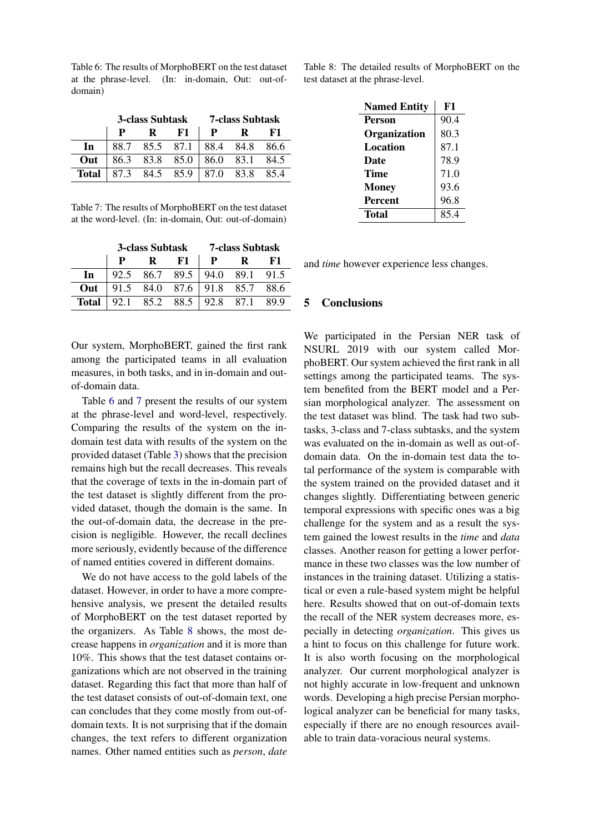<span id="page-5-0"></span>Table 6: The results of MorphoBERT on the test dataset at the phrase-level. (In: in-domain, Out: out-ofdomain)

|              | 3-class Subtask 7-class Subtask |              |                                         |              |             |      |
|--------------|---------------------------------|--------------|-----------------------------------------|--------------|-------------|------|
|              |                                 | $\mathbf{R}$ | - F1                                    | $\mathbf{P}$ | $\mathbf R$ | - F1 |
| In           |                                 |              | 88.7 85.5 87.1 88.4 84.8 86.6           |              |             |      |
| Out          |                                 |              | 86.3 83.8 85.0 86.0 83.1 84.5           |              |             |      |
| <b>Total</b> |                                 |              | $\vert$ 87.3 84.5 85.9   87.0 83.8 85.4 |              |             |      |

<span id="page-5-1"></span>Table 7: The results of MorphoBERT on the test dataset at the word-level. (In: in-domain, Out: out-of-domain)

|       | <b>3-class Subtask</b> |                               | <b>7-class Subtask</b> |                         |    |      |
|-------|------------------------|-------------------------------|------------------------|-------------------------|----|------|
|       |                        | R                             | F1                     | P                       | R. | -F1  |
| In    |                        | 92.5 86.7                     |                        | $89.5$   94.0 89.1 91.5 |    |      |
| Out   |                        | 91.5 84.0 87.6 91.8 85.7 88.6 |                        |                         |    |      |
| Total |                        | 92.1 85.2 88.5 92.8 87.1      |                        |                         |    | 89.9 |

Our system, MorphoBERT, gained the first rank among the participated teams in all evaluation measures, in both tasks, and in in-domain and outof-domain data.

Table [6](#page-5-0) and [7](#page-5-1) present the results of our system at the phrase-level and word-level, respectively. Comparing the results of the system on the indomain test data with results of the system on the provided dataset (Table [3\)](#page-4-0) shows that the precision remains high but the recall decreases. This reveals that the coverage of texts in the in-domain part of the test dataset is slightly different from the provided dataset, though the domain is the same. In the out-of-domain data, the decrease in the precision is negligible. However, the recall declines more seriously, evidently because of the difference of named entities covered in different domains.

We do not have access to the gold labels of the dataset. However, in order to have a more comprehensive analysis, we present the detailed results of MorphoBERT on the test dataset reported by the organizers. As Table [8](#page-5-2) shows, the most decrease happens in *organization* and it is more than 10%. This shows that the test dataset contains organizations which are not observed in the training dataset. Regarding this fact that more than half of the test dataset consists of out-of-domain text, one can concludes that they come mostly from out-ofdomain texts. It is not surprising that if the domain changes, the text refers to different organization names. Other named entities such as *person*, *date* <span id="page-5-2"></span>Table 8: The detailed results of MorphoBERT on the test dataset at the phrase-level.

| <b>Named Entity</b> | F1   |
|---------------------|------|
| <b>Person</b>       | 90.4 |
| Organization        | 80.3 |
| Location            | 87.1 |
| Date                | 78.9 |
| Time                | 71.0 |
| <b>Money</b>        | 93.6 |
| <b>Percent</b>      | 96.8 |
| Total               | 85.4 |

and *time* however experience less changes.

## 5 Conclusions

We participated in the Persian NER task of NSURL 2019 with our system called MorphoBERT. Our system achieved the first rank in all settings among the participated teams. The system benefited from the BERT model and a Persian morphological analyzer. The assessment on the test dataset was blind. The task had two subtasks, 3-class and 7-class subtasks, and the system was evaluated on the in-domain as well as out-ofdomain data. On the in-domain test data the total performance of the system is comparable with the system trained on the provided dataset and it changes slightly. Differentiating between generic temporal expressions with specific ones was a big challenge for the system and as a result the system gained the lowest results in the *time* and *data* classes. Another reason for getting a lower performance in these two classes was the low number of instances in the training dataset. Utilizing a statistical or even a rule-based system might be helpful here. Results showed that on out-of-domain texts the recall of the NER system decreases more, especially in detecting *organization*. This gives us a hint to focus on this challenge for future work. It is also worth focusing on the morphological analyzer. Our current morphological analyzer is not highly accurate in low-frequent and unknown words. Developing a high precise Persian morphological analyzer can be beneficial for many tasks, especially if there are no enough resources available to train data-voracious neural systems.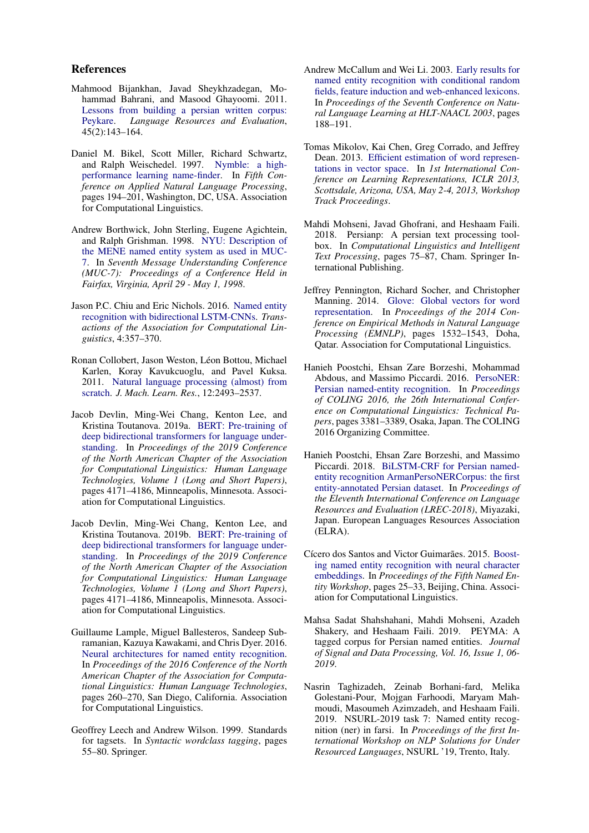#### References

- <span id="page-6-12"></span>Mahmood Bijankhan, Javad Sheykhzadegan, Mohammad Bahrani, and Masood Ghayoomi. 2011. [Lessons from building a persian written corpus:](https://doi.org/10.1007/s10579-010-9132-x) [Peykare.](https://doi.org/10.1007/s10579-010-9132-x) *Language Resources and Evaluation*, 45(2):143–164.
- <span id="page-6-2"></span>Daniel M. Bikel, Scott Miller, Richard Schwartz, and Ralph Weischedel. 1997. [Nymble: a high](https://doi.org/10.3115/974557.974586)[performance learning name-finder.](https://doi.org/10.3115/974557.974586) In *Fifth Conference on Applied Natural Language Processing*, pages 194–201, Washington, DC, USA. Association for Computational Linguistics.
- <span id="page-6-3"></span>Andrew Borthwick, John Sterling, Eugene Agichtein, and Ralph Grishman. 1998. [NYU: Description of](https://www.aclweb.org/anthology/M98-1018) [the MENE named entity system as used in MUC-](https://www.aclweb.org/anthology/M98-1018)[7.](https://www.aclweb.org/anthology/M98-1018) In *Seventh Message Understanding Conference (MUC-7): Proceedings of a Conference Held in Fairfax, Virginia, April 29 - May 1, 1998*.
- <span id="page-6-7"></span>Jason P.C. Chiu and Eric Nichols. 2016. [Named entity](https://doi.org/10.1162/tacl_a_00104) [recognition with bidirectional LSTM-CNNs.](https://doi.org/10.1162/tacl_a_00104) *Transactions of the Association for Computational Linguistics*, 4:357–370.
- <span id="page-6-5"></span>Ronan Collobert, Jason Weston, Léon Bottou, Michael Karlen, Koray Kavukcuoglu, and Pavel Kuksa. 2011. [Natural language processing \(almost\) from](http://dl.acm.org/citation.cfm?id=1953048.2078186) [scratch.](http://dl.acm.org/citation.cfm?id=1953048.2078186) *J. Mach. Learn. Res.*, 12:2493–2537.
- <span id="page-6-1"></span>Jacob Devlin, Ming-Wei Chang, Kenton Lee, and Kristina Toutanova. 2019a. [BERT: Pre-training of](https://www.aclweb.org/anthology/N19-1423) [deep bidirectional transformers for language under](https://www.aclweb.org/anthology/N19-1423)[standing.](https://www.aclweb.org/anthology/N19-1423) In *Proceedings of the 2019 Conference of the North American Chapter of the Association for Computational Linguistics: Human Language Technologies, Volume 1 (Long and Short Papers)*, pages 4171–4186, Minneapolis, Minnesota. Association for Computational Linguistics.
- <span id="page-6-15"></span>Jacob Devlin, Ming-Wei Chang, Kenton Lee, and Kristina Toutanova. 2019b. [BERT: Pre-training of](https://www.aclweb.org/anthology/N19-1423) [deep bidirectional transformers for language under](https://www.aclweb.org/anthology/N19-1423)[standing.](https://www.aclweb.org/anthology/N19-1423) In *Proceedings of the 2019 Conference of the North American Chapter of the Association for Computational Linguistics: Human Language Technologies, Volume 1 (Long and Short Papers)*, pages 4171–4186, Minneapolis, Minnesota. Association for Computational Linguistics.
- <span id="page-6-8"></span>Guillaume Lample, Miguel Ballesteros, Sandeep Subramanian, Kazuya Kawakami, and Chris Dyer. 2016. [Neural architectures for named entity recognition.](https://doi.org/10.18653/v1/N16-1030) In *Proceedings of the 2016 Conference of the North American Chapter of the Association for Computational Linguistics: Human Language Technologies*, pages 260–270, San Diego, California. Association for Computational Linguistics.
- <span id="page-6-13"></span>Geoffrey Leech and Andrew Wilson. 1999. Standards for tagsets. In *Syntactic wordclass tagging*, pages 55–80. Springer.
- <span id="page-6-4"></span>Andrew McCallum and Wei Li. 2003. [Early results for](https://www.aclweb.org/anthology/W03-0430) [named entity recognition with conditional random](https://www.aclweb.org/anthology/W03-0430) [fields, feature induction and web-enhanced lexicons.](https://www.aclweb.org/anthology/W03-0430) In *Proceedings of the Seventh Conference on Natural Language Learning at HLT-NAACL 2003*, pages 188–191.
- <span id="page-6-16"></span>Tomas Mikolov, Kai Chen, Greg Corrado, and Jeffrey Dean. 2013. [Efficient estimation of word represen](http://arxiv.org/abs/1301.3781)[tations in vector space.](http://arxiv.org/abs/1301.3781) In *1st International Conference on Learning Representations, ICLR 2013, Scottsdale, Arizona, USA, May 2-4, 2013, Workshop Track Proceedings*.
- <span id="page-6-14"></span>Mahdi Mohseni, Javad Ghofrani, and Heshaam Faili. 2018. Persianp: A persian text processing toolbox. In *Computational Linguistics and Intelligent Text Processing*, pages 75–87, Cham. Springer International Publishing.
- <span id="page-6-17"></span>Jeffrey Pennington, Richard Socher, and Christopher Manning. 2014. [Glove: Global vectors for word](https://doi.org/10.3115/v1/D14-1162) [representation.](https://doi.org/10.3115/v1/D14-1162) In *Proceedings of the 2014 Conference on Empirical Methods in Natural Language Processing (EMNLP)*, pages 1532–1543, Doha, Qatar. Association for Computational Linguistics.
- <span id="page-6-9"></span>Hanieh Poostchi, Ehsan Zare Borzeshi, Mohammad Abdous, and Massimo Piccardi. 2016. [PersoNER:](https://www.aclweb.org/anthology/C16-1319) [Persian named-entity recognition.](https://www.aclweb.org/anthology/C16-1319) In *Proceedings of COLING 2016, the 26th International Conference on Computational Linguistics: Technical Papers*, pages 3381–3389, Osaka, Japan. The COLING 2016 Organizing Committee.
- <span id="page-6-10"></span>Hanieh Poostchi, Ehsan Zare Borzeshi, and Massimo Piccardi. 2018. [BiLSTM-CRF for Persian named](https://www.aclweb.org/anthology/L18-1701)[entity recognition ArmanPersoNERCorpus: the first](https://www.aclweb.org/anthology/L18-1701) [entity-annotated Persian dataset.](https://www.aclweb.org/anthology/L18-1701) In *Proceedings of the Eleventh International Conference on Language Resources and Evaluation (LREC-2018)*, Miyazaki, Japan. European Languages Resources Association (ELRA).
- <span id="page-6-6"></span>Cícero dos Santos and Victor Guimarães. 2015. [Boost](https://doi.org/10.18653/v1/W15-3904)[ing named entity recognition with neural character](https://doi.org/10.18653/v1/W15-3904) [embeddings.](https://doi.org/10.18653/v1/W15-3904) In *Proceedings of the Fifth Named Entity Workshop*, pages 25–33, Beijing, China. Association for Computational Linguistics.
- <span id="page-6-11"></span>Mahsa Sadat Shahshahani, Mahdi Mohseni, Azadeh Shakery, and Heshaam Faili. 2019. PEYMA: A tagged corpus for Persian named entities. *Journal of Signal and Data Processing, Vol. 16, Issue 1, 06- 2019*.
- <span id="page-6-0"></span>Nasrin Taghizadeh, Zeinab Borhani-fard, Melika Golestani-Pour, Mojgan Farhoodi, Maryam Mahmoudi, Masoumeh Azimzadeh, and Heshaam Faili. 2019. NSURL-2019 task 7: Named entity recognition (ner) in farsi. In *Proceedings of the first International Workshop on NLP Solutions for Under Resourced Languages*, NSURL '19, Trento, Italy.